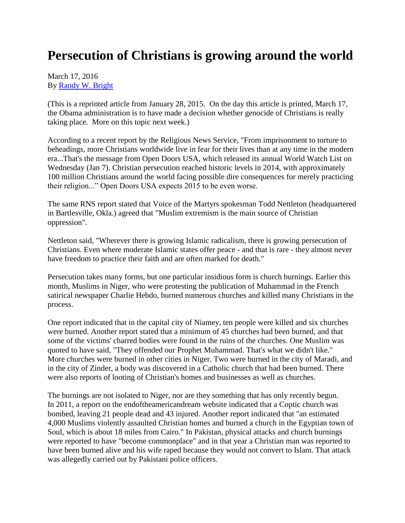## **Persecution of Christians is growing around the world**

## March 17, 2016 By [Randy W. Bright](http://www.tulsabeacon.com/author/slug-o6yd1v)

(This is a reprinted article from January 28, 2015. On the day this article is printed, March 17, the Obama administration is to have made a decision whether genocide of Christians is really taking place. More on this topic next week.)

According to a recent report by the Religious News Service, "From imprisonment to torture to beheadings, more Christians worldwide live in fear for their lives than at any time in the modern era...That's the message from Open Doors USA, which released its annual World Watch List on Wednesday (Jan 7). Christian persecution reached historic levels in 2014, with approximately 100 million Christians around the world facing possible dire consequences for merely practicing their religion..." Open Doors USA expects 2015 to be even worse.

The same RNS report stated that Voice of the Martyrs spokesman Todd Nettleton (headquartered in Bartlesville, Okla.) agreed that "Muslim extremism is the main source of Christian oppression".

Nettleton said, "Wherever there is growing Islamic radicalism, there is growing persecution of Christians. Even where moderate Islamic states offer peace - and that is rare - they almost never have freedom to practice their faith and are often marked for death."

Persecution takes many forms, but one particular insidious form is church burnings. Earlier this month, Muslims in Niger, who were protesting the publication of Muhammad in the French satirical newspaper Charlie Hebdo, burned numerous churches and killed many Christians in the process.

One report indicated that in the capital city of Niamey, ten people were killed and six churches were burned. Another report stated that a minimum of 45 churches had been burned, and that some of the victims' charred bodies were found in the ruins of the churches. One Muslim was quoted to have said, "They offended our Prophet Muhammad. That's what we didn't like." More churches were burned in other cities in Niger. Two were burned in the city of Maradi, and in the city of Zinder, a body was discovered in a Catholic church that had been burned. There were also reports of looting of Christian's homes and businesses as well as churches.

The burnings are not isolated to Niger, nor are they something that has only recently begun. In 2011, a report on the endoftheamericandream website indicated that a Coptic church was bombed, leaving 21 people dead and 43 injured. Another report indicated that "an estimated 4,000 Muslims violently assaulted Christian homes and burned a church in the Egyptian town of Soul, which is about 18 miles from Cairo." In Pakistan, physical attacks and church burnings were reported to have "become commonplace" and in that year a Christian man was reported to have been burned alive and his wife raped because they would not convert to Islam. That attack was allegedly carried out by Pakistani police officers.